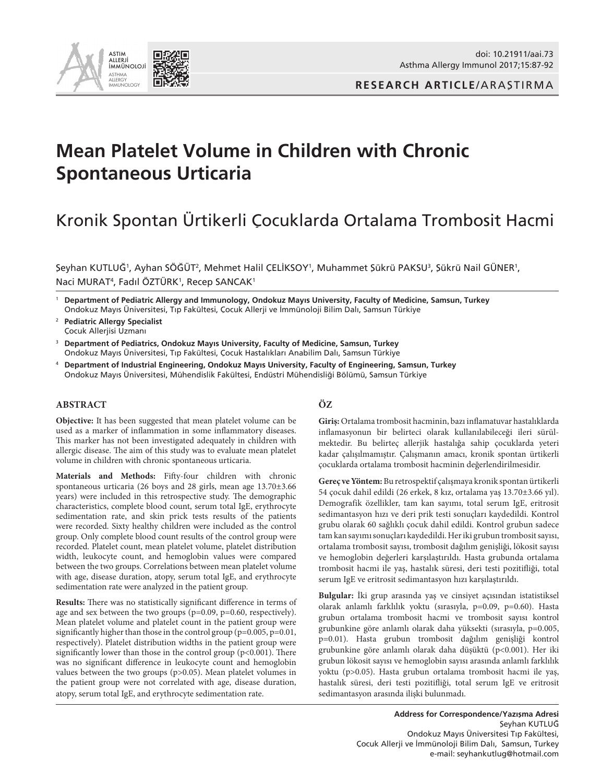



# **Mean Platelet Volume in Children with Chronic Spontaneous Urticaria**

# Kronik Spontan Ürtikerli Çocuklarda Ortalama Trombosit Hacmi

Şeyhan KUTLUĞ<sup>1</sup>, Ayhan SÖĞÜT<sup>2</sup>, Mehmet Halil ÇELİKSOY<sup>1</sup>, Muhammet Şükrü PAKSU<sup>3</sup>, Şükrü Nail GÜNER<sup>1</sup>, Naci MURAT<sup>4</sup>, Fadıl ÖZTÜRK<sup>1</sup>, Recep SANCAK<sup>1</sup>

<sup>1</sup> **Department of Pediatric Allergy and Immunology, Ondokuz Mayıs University, Faculty of Medicine, Samsun, Turkey**  Ondokuz Mayıs Üniversitesi, Tıp Fakültesi, Çocuk Allerji ve İmmünoloji Bilim Dalı, Samsun Türkiye

- <sup>2</sup> **Pediatric Allergy Specialist** Çocuk Allerjisi Uzmanı
- <sup>3</sup> **Department of Pediatrics, Ondokuz Mayıs University, Faculty of Medicine, Samsun, Turkey**  Ondokuz Mayıs Üniversitesi, Tıp Fakültesi, Çocuk Hastalıkları Anabilim Dalı, Samsun Türkiye
- <sup>4</sup> **Department of Industrial Engineering, Ondokuz Mayıs University, Faculty of Engineering, Samsun, Turkey** Ondokuz Mayıs Üniversitesi, Mühendislik Fakültesi, Endüstri Mühendisliği Bölümü, Samsun Türkiye

## **ABSTRACT**

**Objective:** It has been suggested that mean platelet volume can be used as a marker of inflammation in some inflammatory diseases. This marker has not been investigated adequately in children with allergic disease. The aim of this study was to evaluate mean platelet volume in children with chronic spontaneous urticaria.

**Materials and Methods:** Fifty-four children with chronic spontaneous urticaria (26 boys and 28 girls, mean age 13.70±3.66 years) were included in this retrospective study. The demographic characteristics, complete blood count, serum total IgE, erythrocyte sedimentation rate, and skin prick tests results of the patients were recorded. Sixty healthy children were included as the control group. Only complete blood count results of the control group were recorded. Platelet count, mean platelet volume, platelet distribution width, leukocyte count, and hemoglobin values were compared between the two groups. Correlations between mean platelet volume with age, disease duration, atopy, serum total IgE, and erythrocyte sedimentation rate were analyzed in the patient group.

**Results:** There was no statistically significant difference in terms of age and sex between the two groups (p=0.09, p=0.60, respectively). Mean platelet volume and platelet count in the patient group were significantly higher than those in the control group (p=0.005, p=0.01, respectively). Platelet distribution widths in the patient group were significantly lower than those in the control group  $(p<0.001)$ . There was no significant difference in leukocyte count and hemoglobin values between the two groups (p>0.05). Mean platelet volumes in the patient group were not correlated with age, disease duration, atopy, serum total IgE, and erythrocyte sedimentation rate.

## **ÖZ**

**Giriş:** Ortalama trombosit hacminin, bazı inflamatuvar hastalıklarda inflamasyonun bir belirteci olarak kullanılabileceği ileri sürülmektedir. Bu belirteç allerjik hastalığa sahip çocuklarda yeteri kadar çalışılmamıştır. Çalışmanın amacı, kronik spontan ürtikerli çocuklarda ortalama trombosit hacminin değerlendirilmesidir.

**Gereç ve Yöntem:** Bu retrospektif çalışmaya kronik spontan ürtikerli 54 çocuk dahil edildi (26 erkek, 8 kız, ortalama yaş 13.70±3.66 yıl). Demografik özellikler, tam kan sayımı, total serum IgE, eritrosit sedimantasyon hızı ve deri prik testi sonuçları kaydedildi. Kontrol grubu olarak 60 sağlıklı çocuk dahil edildi. Kontrol grubun sadece tam kan sayımı sonuçları kaydedildi. Her iki grubun trombosit sayısı, ortalama trombosit sayısı, trombosit dağılım genişliği, lökosit sayısı ve hemoglobin değerleri karşılaştırıldı. Hasta grubunda ortalama trombosit hacmi ile yaş, hastalık süresi, deri testi pozitifliği, total serum IgE ve eritrosit sedimantasyon hızı karşılaştırıldı.

**Bulgular:** İki grup arasında yaş ve cinsiyet açısından istatistiksel olarak anlamlı farklılık yoktu (sırasıyla, p=0.09, p=0.60). Hasta grubun ortalama trombosit hacmi ve trombosit sayısı kontrol grubunkine göre anlamlı olarak daha yüksekti (sırasıyla, p=0.005, p=0.01). Hasta grubun trombosit dağılım genişliği kontrol grubunkine göre anlamlı olarak daha düşüktü (p<0.001). Her iki grubun lökosit sayısı ve hemoglobin sayısı arasında anlamlı farklılık yoktu (p>0.05). Hasta grubun ortalama trombosit hacmi ile yaş, hastalık süresi, deri testi pozitifliği, total serum IgE ve eritrosit sedimantasyon arasında ilişki bulunmadı.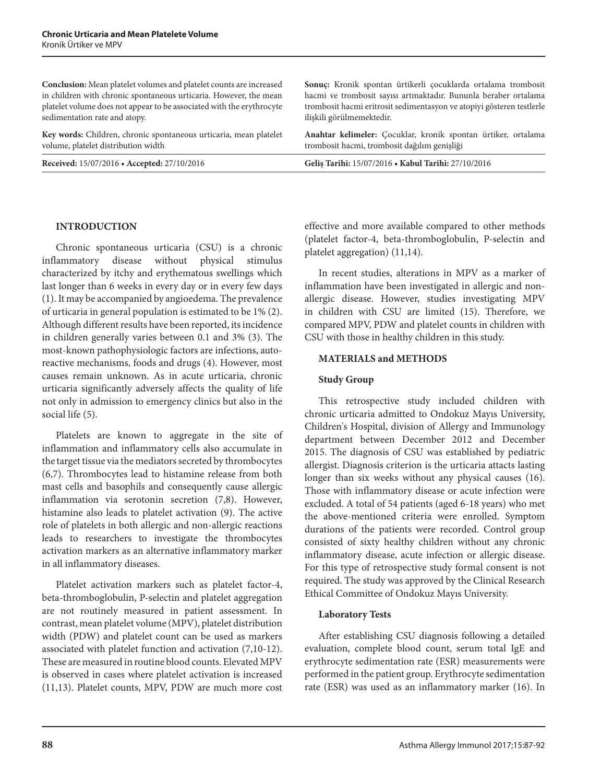**Conclusion:** Mean platelet volumes and platelet counts are increased in children with chronic spontaneous urticaria. However, the mean platelet volume does not appear to be associated with the erythrocyte sedimentation rate and atopy.

**Key words:** Children, chronic spontaneous urticaria, mean platelet volume, platelet distribution width

#### **INTRODUCTION**

Chronic spontaneous urticaria (CSU) is a chronic inflammatory disease without physical stimulus characterized by itchy and erythematous swellings which last longer than 6 weeks in every day or in every few days (1). It may be accompanied by angioedema. The prevalence of urticaria in general population is estimated to be 1% (2). Although different results have been reported, its incidence in children generally varies between 0.1 and 3% (3). The most-known pathophysiologic factors are infections, autoreactive mechanisms, foods and drugs (4). However, most causes remain unknown. As in acute urticaria, chronic urticaria significantly adversely affects the quality of life not only in admission to emergency clinics but also in the social life (5).

Platelets are known to aggregate in the site of inflammation and inflammatory cells also accumulate in the target tissue via the mediators secreted by thrombocytes (6,7). Thrombocytes lead to histamine release from both mast cells and basophils and consequently cause allergic inflammation via serotonin secretion (7,8). However, histamine also leads to platelet activation (9). The active role of platelets in both allergic and non-allergic reactions leads to researchers to investigate the thrombocytes activation markers as an alternative inflammatory marker in all inflammatory diseases.

Platelet activation markers such as platelet factor-4, beta-thromboglobulin, P-selectin and platelet aggregation are not routinely measured in patient assessment. In contrast, mean platelet volume (MPV), platelet distribution width (PDW) and platelet count can be used as markers associated with platelet function and activation (7,10-12). These are measured in routine blood counts. Elevated MPV is observed in cases where platelet activation is increased (11,13). Platelet counts, MPV, PDW are much more cost

**Sonuç:** Kronik spontan ürtikerli çocuklarda ortalama trombosit hacmi ve trombosit sayısı artmaktadır. Bununla beraber ortalama trombosit hacmi eritrosit sedimentasyon ve atopiyi gösteren testlerle ilişkili görülmemektedir.

**Anahtar kelimeler:** Çocuklar, kronik spontan ürtiker, ortalama trombosit hacmi, trombosit dağılım genişliği

**Received:** 15/07/2016 **• Accepted:** 27/10/2016 **Geliş Tarihi:** 15/07/2016 **• Kabul Tarihi:** 27/10/2016

effective and more available compared to other methods (platelet factor-4, beta-thromboglobulin, P-selectin and platelet aggregation) (11,14).

In recent studies, alterations in MPV as a marker of inflammation have been investigated in allergic and nonallergic disease. However, studies investigating MPV in children with CSU are limited (15). Therefore, we compared MPV, PDW and platelet counts in children with CSU with those in healthy children in this study.

#### **MATERIALS and METHODS**

#### **Study Group**

This retrospective study included children with chronic urticaria admitted to Ondokuz Mayıs University, Children's Hospital, division of Allergy and Immunology department between December 2012 and December 2015. The diagnosis of CSU was established by pediatric allergist. Diagnosis criterion is the urticaria attacts lasting longer than six weeks without any physical causes (16). Those with inflammatory disease or acute infection were excluded. A total of 54 patients (aged 6-18 years) who met the above-mentioned criteria were enrolled. Symptom durations of the patients were recorded. Control group consisted of sixty healthy children without any chronic inflammatory disease, acute infection or allergic disease. For this type of retrospective study formal consent is not required. The study was approved by the Clinical Research Ethical Committee of Ondokuz Mayıs University.

#### **Laboratory Tests**

After establishing CSU diagnosis following a detailed evaluation, complete blood count, serum total IgE and erythrocyte sedimentation rate (ESR) measurements were performed in the patient group. Erythrocyte sedimentation rate (ESR) was used as an inflammatory marker (16). In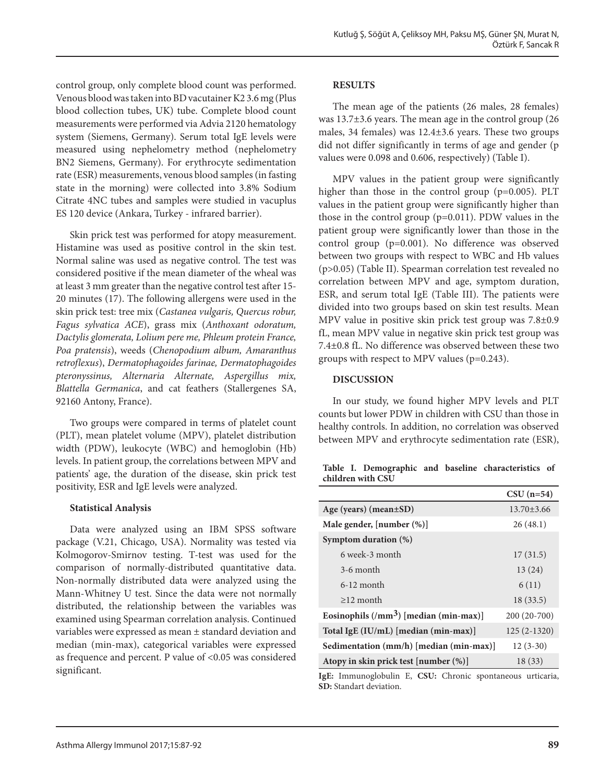control group, only complete blood count was performed. Venous blood was taken into BD vacutainer K2 3.6 mg (Plus blood collection tubes, UK) tube. Complete blood count measurements were performed via Advia 2120 hematology system (Siemens, Germany). Serum total IgE levels were measured using nephelometry method (nephelometry BN2 Siemens, Germany). For erythrocyte sedimentation rate (ESR) measurements, venous blood samples (in fasting state in the morning) were collected into 3.8% Sodium Citrate 4NC tubes and samples were studied in vacuplus ES 120 device (Ankara, Turkey - infrared barrier).

Skin prick test was performed for atopy measurement. Histamine was used as positive control in the skin test. Normal saline was used as negative control. The test was considered positive if the mean diameter of the wheal was at least 3 mm greater than the negative control test after 15- 20 minutes (17). The following allergens were used in the skin prick test: tree mix (*Castanea vulgaris, Quercus robur, Fagus sylvatica ACE*), grass mix (*Anthoxant odoratum, Dactylis glomerata, Lolium pere me, Phleum protein France, Poa pratensis*), weeds (*Chenopodium album, Amaranthus retroflexus*), *Dermatophagoides farinae, Dermatophagoides pteronyssinus, Alternaria Alternate, Aspergillus mix, Blattella Germanica*, and cat feathers (Stallergenes SA, 92160 Antony, France).

Two groups were compared in terms of platelet count (PLT), mean platelet volume (MPV), platelet distribution width (PDW), leukocyte (WBC) and hemoglobin (Hb) levels. In patient group, the correlations between MPV and patients' age, the duration of the disease, skin prick test positivity, ESR and IgE levels were analyzed.

# **Statistical Analysis**

Data were analyzed using an IBM SPSS software package (V.21, Chicago, USA). Normality was tested via Kolmogorov-Smirnov testing. T-test was used for the comparison of normally-distributed quantitative data. Non-normally distributed data were analyzed using the Mann-Whitney U test. Since the data were not normally distributed, the relationship between the variables was examined using Spearman correlation analysis. Continued variables were expressed as mean ± standard deviation and median (min-max), categorical variables were expressed as frequence and percent. P value of <0.05 was considered significant.

## **RESULTS**

The mean age of the patients (26 males, 28 females) was 13.7±3.6 years. The mean age in the control group (26 males, 34 females) was 12.4±3.6 years. These two groups did not differ significantly in terms of age and gender (p values were 0.098 and 0.606, respectively) (Table I).

MPV values in the patient group were significantly higher than those in the control group (p=0.005). PLT values in the patient group were significantly higher than those in the control group (p=0.011). PDW values in the patient group were significantly lower than those in the control group (p=0.001). No difference was observed between two groups with respect to WBC and Hb values (p>0.05) (Table II). Spearman correlation test revealed no correlation between MPV and age, symptom duration, ESR, and serum total IgE (Table III). The patients were divided into two groups based on skin test results. Mean MPV value in positive skin prick test group was 7.8±0.9 fL, mean MPV value in negative skin prick test group was 7.4±0.8 fL. No difference was observed between these two groups with respect to MPV values (p=0.243).

## **DISCUSSION**

In our study, we found higher MPV levels and PLT counts but lower PDW in children with CSU than those in healthy controls. In addition, no correlation was observed between MPV and erythrocyte sedimentation rate (ESR),

|  |                   |  | Table I. Demographic and baseline characteristics of |  |
|--|-------------------|--|------------------------------------------------------|--|
|  | children with CSU |  |                                                      |  |

|                                                 | $CSU(n=54)$      |
|-------------------------------------------------|------------------|
| Age (years) (mean $\pm SD$ )                    | $13.70 \pm 3.66$ |
| Male gender, [number (%)]                       | 26(48.1)         |
| Symptom duration (%)                            |                  |
| 6 week-3 month                                  | 17(31.5)         |
| 3-6 month                                       | 13(24)           |
| $6-12$ month                                    | 6(11)            |
| $\geq$ 12 month                                 | 18(33.5)         |
| Eosinophils $(\text{/mm}^3)$ [median (min-max)] | $200(20-700)$    |
| Total IgE (IU/mL) [median (min-max)]            | $125(2-1320)$    |
| Sedimentation (mm/h) [median (min-max)]         | $12(3-30)$       |
| Atopy in skin prick test [number (%)]           | 18(33)           |

**IgE:** Immunoglobulin E, **CSU:** Chronic spontaneous urticaria, **SD:** Standart deviation.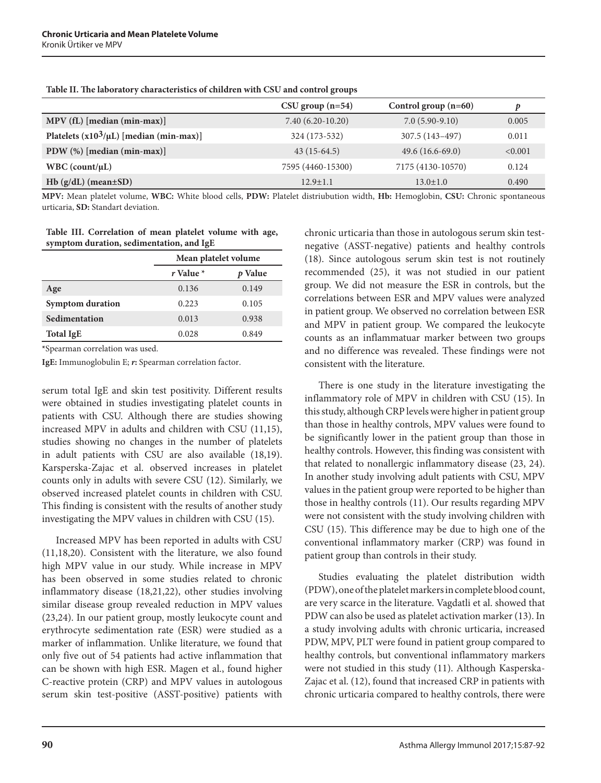|                                              | $CSU$ group $(n=54)$ | Control group $(n=60)$ |         |
|----------------------------------------------|----------------------|------------------------|---------|
| MPV (fL) [median (min-max)]                  | $7.40(6.20-10.20)$   | $7.0(5.90-9.10)$       | 0.005   |
| Platelets $(x10^3/\mu L)$ [median (min-max)] | 324 (173-532)        | 307.5 (143-497)        | 0.011   |
| PDW $(\%)$ [median (min-max)]                | $43(15-64.5)$        | $49.6(16.6-69.0)$      | < 0.001 |
| $WBC$ (count/ $\mu L$ )                      | 7595 (4460-15300)    | 7175 (4130-10570)      | 0.124   |
| $Hb(g/dL)$ (mean $\pm SD$ )                  | $12.9 \pm 1.1$       | $13.0 \pm 1.0$         | 0.490   |

**Table II. The laboratory characteristics of children with CSU and control groups**

**MPV:** Mean platelet volume, **WBC:** White blood cells, **PDW:** Platelet distriubution width, **Hb:** Hemoglobin, **CSU:** Chronic spontaneous urticaria, **SD:** Standart deviation.

#### **Table III. Correlation of mean platelet volume with age, symptom duration, sedimentation, and IgE**

|                         | Mean platelet volume |         |  |
|-------------------------|----------------------|---------|--|
|                         | r Value $*$          | p Value |  |
| Age                     | 0.136                | 0.149   |  |
| <b>Symptom duration</b> | 0.223                | 0.105   |  |
| Sedimentation           | 0.013                | 0.938   |  |
| <b>Total IgE</b>        | 0.028                | 0.849   |  |

**\***Spearman correlation was used.

**IgE:** Immunoglobulin E; *r***:** Spearman correlation factor.

serum total IgE and skin test positivity. Different results were obtained in studies investigating platelet counts in patients with CSU. Although there are studies showing increased MPV in adults and children with CSU (11,15), studies showing no changes in the number of platelets in adult patients with CSU are also available (18,19). Karsperska-Zajac et al. observed increases in platelet counts only in adults with severe CSU (12). Similarly, we observed increased platelet counts in children with CSU. This finding is consistent with the results of another study investigating the MPV values in children with CSU (15).

Increased MPV has been reported in adults with CSU (11,18,20). Consistent with the literature, we also found high MPV value in our study. While increase in MPV has been observed in some studies related to chronic inflammatory disease (18,21,22), other studies involving similar disease group revealed reduction in MPV values (23,24). In our patient group, mostly leukocyte count and erythrocyte sedimentation rate (ESR) were studied as a marker of inflammation. Unlike literature, we found that only five out of 54 patients had active inflammation that can be shown with high ESR. Magen et al., found higher C-reactive protein (CRP) and MPV values in autologous serum skin test-positive (ASST-positive) patients with

chronic urticaria than those in autologous serum skin testnegative (ASST-negative) patients and healthy controls (18). Since autologous serum skin test is not routinely recommended (25), it was not studied in our patient group. We did not measure the ESR in controls, but the correlations between ESR and MPV values were analyzed in patient group. We observed no correlation between ESR and MPV in patient group. We compared the leukocyte counts as an inflammatuar marker between two groups and no difference was revealed. These findings were not consistent with the literature.

There is one study in the literature investigating the inflammatory role of MPV in children with CSU (15). In this study, although CRP levels were higher in patient group than those in healthy controls, MPV values were found to be significantly lower in the patient group than those in healthy controls. However, this finding was consistent with that related to nonallergic inflammatory disease (23, 24). In another study involving adult patients with CSU, MPV values in the patient group were reported to be higher than those in healthy controls (11). Our results regarding MPV were not consistent with the study involving children with CSU (15). This difference may be due to high one of the conventional inflammatory marker (CRP) was found in patient group than controls in their study.

Studies evaluating the platelet distribution width (PDW), one of the platelet markers in complete blood count, are very scarce in the literature. Vagdatli et al. showed that PDW can also be used as platelet activation marker (13). In a study involving adults with chronic urticaria, increased PDW, MPV, PLT were found in patient group compared to healthy controls, but conventional inflammatory markers were not studied in this study (11). Although Kasperska-Zajac et al. (12), found that increased CRP in patients with chronic urticaria compared to healthy controls, there were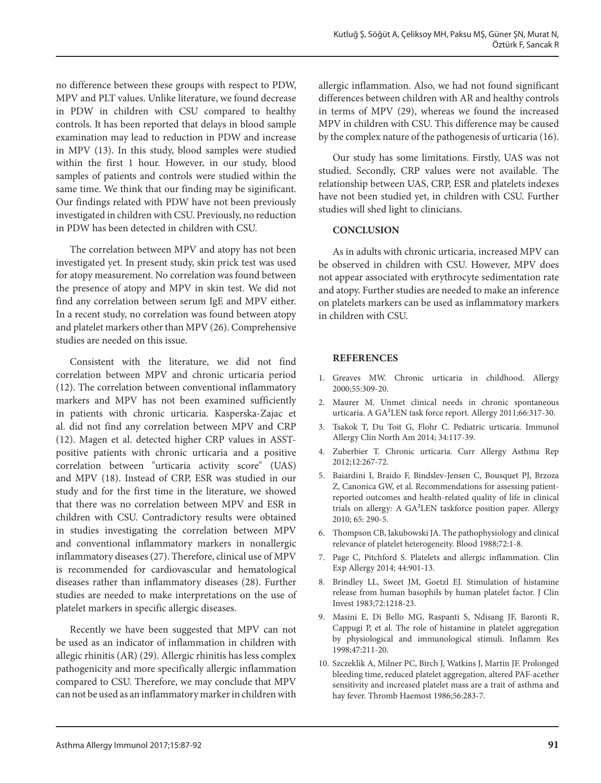no difference between these groups with respect to PDW, MPV and PLT values. Unlike literature, we found decrease in PDW in children with CSU compared to healthy controls. It has been reported that delays in blood sample examination may lead to reduction in PDW and increase in MPV (13). In this study, blood samples were studied within the first 1 hour. However, in our study, blood samples of patients and controls were studied within the same time. We think that our finding may be siginificant. Our findings related with PDW have not been previously investigated in children with CSU. Previously, no reduction in PDW has been detected in children with CSU.

The correlation between MPV and atopy has not been investigated yet. In present study, skin prick test was used for atopy measurement. No correlation was found between the presence of atopy and MPV in skin test. We did not find any correlation between serum IgE and MPV either. In a recent study, no correlation was found between atopy and platelet markers other than MPV (26). Comprehensive studies are needed on this issue.

Consistent with the literature, we did not find correlation between MPV and chronic urticaria period (12). The correlation between conventional inflammatory markers and MPV has not been examined sufficiently in patients with chronic urticaria. Kasperska-Zajac et al. did not find any correlation between MPV and CRP (12). Magen et al. detected higher CRP values in ASSTpositive patients with chronic urticaria and a positive correlation between "urticaria activity score" (UAS) and MPV (18). Instead of CRP, ESR was studied in our study and for the first time in the literature, we showed that there was no correlation between MPV and ESR in children with CSU. Contradictory results were obtained in studies investigating the correlation between MPV and conventional inflammatory markers in nonallergic inflammatory diseases (27). Therefore, clinical use of MPV is recommended for cardiovascular and hematological diseases rather than inflammatory diseases (28). Further studies are needed to make interpretations on the use of platelet markers in specific allergic diseases.

Recently we have been suggested that MPV can not be used as an indicator of inflammation in children with allegic rhinitis (AR) (29). Allergic rhinitis has less complex pathogenicity and more specifically allergic inflammation compared to CSU. Therefore, we may conclude that MPV can not be used as an inflammatory marker in children with

allergic inflammation. Also, we had not found significant differences between children with AR and healthy controls in terms of MPV (29), whereas we found the increased MPV in children with CSU. This difference may be caused by the complex nature of the pathogenesis of urticaria (16).

Our study has some limitations. Firstly, UAS was not studied. Secondly, CRP values were not available. The relationship between UAS, CRP, ESR and platelets indexes have not been studied yet, in children with CSU. Further studies will shed light to clinicians.

# **CONCLUSION**

As in adults with chronic urticaria, increased MPV can be observed in children with CSU. However, MPV does not appear associated with erythrocyte sedimentation rate and atopy. Further studies are needed to make an inference on platelets markers can be used as inflammatory markers in children with CSU.

# **References**

- 1. Greaves MW. Chronic urticaria in childhood. Allergy 2000;55:309-20.
- 2. Maurer M. Unmet clinical needs in chronic spontaneous urticaria. A GA²LEN task force report. Allergy 2011;66:317-30.
- 3. Tsakok T, Du Toit G, Flohr C. Pediatric urticaria. Immunol Allergy Clin North Am 2014; 34:117-39.
- 4. Zuberbier T. Chronic urticaria. Curr Allergy Asthma Rep 2012;12:267-72.
- 5. Baiardini I, Braido F, Bindslev-Jensen C, Bousquet PJ, Brzoza Z, Canonica GW, et al. Recommendations for assessing patientreported outcomes and health-related quality of life in clinical trials on allergy: A GA²LEN taskforce position paper. Allergy 2010; 65: 290-5.
- 6. Thompson CB, Jakubowski JA. The pathophysiology and clinical relevance of platelet heterogeneity. Blood 1988;72:1-8.
- 7. Page C, Pitchford S. Platelets and allergic inflammation. Clin Exp Allergy 2014; 44:901-13.
- 8. Brindley LL, Sweet JM, Goetzl EJ. Stimulation of histamine release from human basophils by human platelet factor. J Clin Invest 1983;72:1218-23.
- 9. Masini E, Di Bello MG, Raspanti S, Ndisang JF, Baronti R, Cappugi P, et al. The role of histamine in platelet aggregation by physiological and immunological stimuli. Inflamm Res 1998;47:211-20.
- 10. Szczeklik A, Milner PC, Birch J, Watkins J, Martin JF. Prolonged bleeding time, reduced platelet aggregation, altered PAF-acether sensitivity and increased platelet mass are a trait of asthma and hay fever. Thromb Haemost 1986;56:283-7.